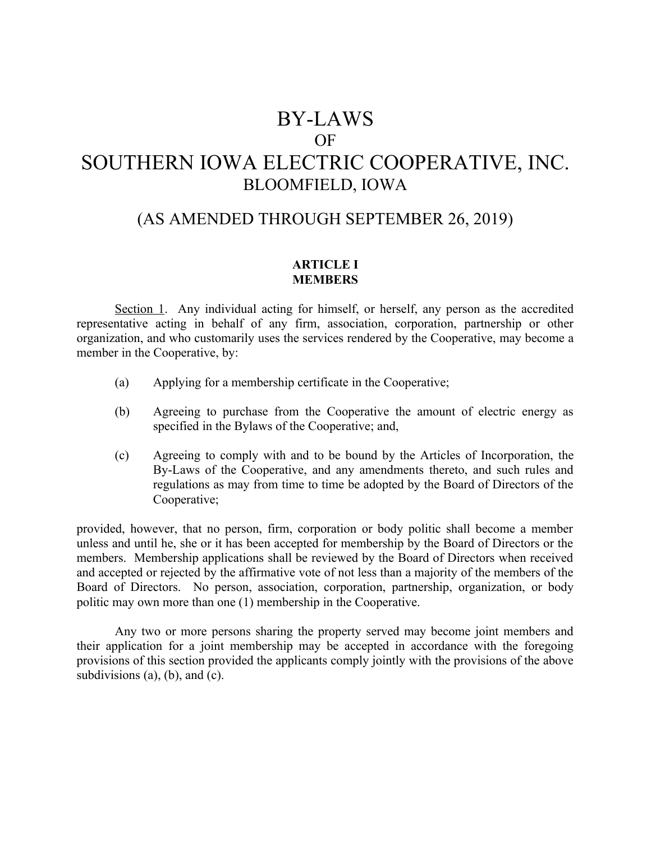# BY-LAWS OF SOUTHERN IOWA ELECTRIC COOPERATIVE, INC. BLOOMFIELD, IOWA

# (AS AMENDED THROUGH SEPTEMBER 26, 2019)

# **ARTICLE I MEMBERS**

Section 1. Any individual acting for himself, or herself, any person as the accredited representative acting in behalf of any firm, association, corporation, partnership or other organization, and who customarily uses the services rendered by the Cooperative, may become a member in the Cooperative, by:

- (a) Applying for a membership certificate in the Cooperative;
- (b) Agreeing to purchase from the Cooperative the amount of electric energy as specified in the Bylaws of the Cooperative; and,
- (c) Agreeing to comply with and to be bound by the Articles of Incorporation, the By-Laws of the Cooperative, and any amendments thereto, and such rules and regulations as may from time to time be adopted by the Board of Directors of the Cooperative;

provided, however, that no person, firm, corporation or body politic shall become a member unless and until he, she or it has been accepted for membership by the Board of Directors or the members. Membership applications shall be reviewed by the Board of Directors when received and accepted or rejected by the affirmative vote of not less than a majority of the members of the Board of Directors. No person, association, corporation, partnership, organization, or body politic may own more than one (1) membership in the Cooperative.

Any two or more persons sharing the property served may become joint members and their application for a joint membership may be accepted in accordance with the foregoing provisions of this section provided the applicants comply jointly with the provisions of the above subdivisions (a), (b), and (c).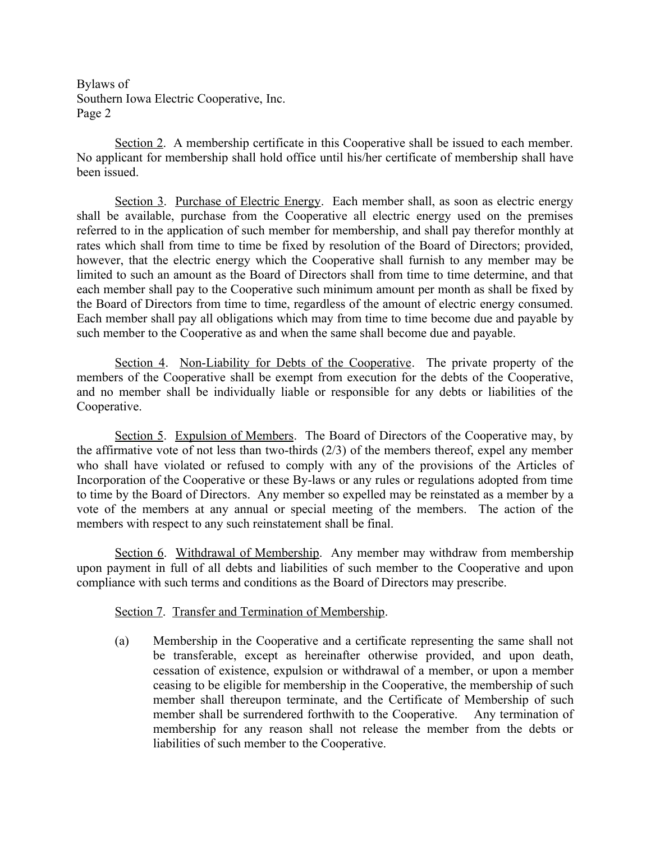Section 2. A membership certificate in this Cooperative shall be issued to each member. No applicant for membership shall hold office until his/her certificate of membership shall have been issued.

Section 3. Purchase of Electric Energy. Each member shall, as soon as electric energy shall be available, purchase from the Cooperative all electric energy used on the premises referred to in the application of such member for membership, and shall pay therefor monthly at rates which shall from time to time be fixed by resolution of the Board of Directors; provided, however, that the electric energy which the Cooperative shall furnish to any member may be limited to such an amount as the Board of Directors shall from time to time determine, and that each member shall pay to the Cooperative such minimum amount per month as shall be fixed by the Board of Directors from time to time, regardless of the amount of electric energy consumed. Each member shall pay all obligations which may from time to time become due and payable by such member to the Cooperative as and when the same shall become due and payable.

Section 4. Non-Liability for Debts of the Cooperative. The private property of the members of the Cooperative shall be exempt from execution for the debts of the Cooperative, and no member shall be individually liable or responsible for any debts or liabilities of the Cooperative.

Section 5. Expulsion of Members. The Board of Directors of the Cooperative may, by the affirmative vote of not less than two-thirds (2/3) of the members thereof, expel any member who shall have violated or refused to comply with any of the provisions of the Articles of Incorporation of the Cooperative or these By-laws or any rules or regulations adopted from time to time by the Board of Directors. Any member so expelled may be reinstated as a member by a vote of the members at any annual or special meeting of the members. The action of the members with respect to any such reinstatement shall be final.

Section 6. Withdrawal of Membership. Any member may withdraw from membership upon payment in full of all debts and liabilities of such member to the Cooperative and upon compliance with such terms and conditions as the Board of Directors may prescribe.

# Section 7. Transfer and Termination of Membership.

(a) Membership in the Cooperative and a certificate representing the same shall not be transferable, except as hereinafter otherwise provided, and upon death, cessation of existence, expulsion or withdrawal of a member, or upon a member ceasing to be eligible for membership in the Cooperative, the membership of such member shall thereupon terminate, and the Certificate of Membership of such member shall be surrendered forthwith to the Cooperative. Any termination of membership for any reason shall not release the member from the debts or liabilities of such member to the Cooperative.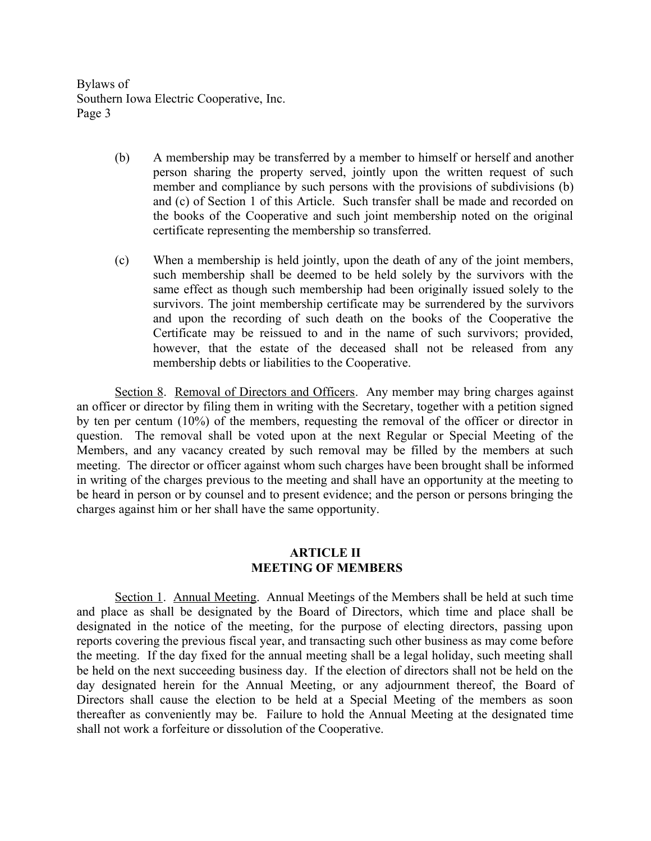- (b) A membership may be transferred by a member to himself or herself and another person sharing the property served, jointly upon the written request of such member and compliance by such persons with the provisions of subdivisions (b) and (c) of Section 1 of this Article. Such transfer shall be made and recorded on the books of the Cooperative and such joint membership noted on the original certificate representing the membership so transferred.
- (c) When a membership is held jointly, upon the death of any of the joint members, such membership shall be deemed to be held solely by the survivors with the same effect as though such membership had been originally issued solely to the survivors. The joint membership certificate may be surrendered by the survivors and upon the recording of such death on the books of the Cooperative the Certificate may be reissued to and in the name of such survivors; provided, however, that the estate of the deceased shall not be released from any membership debts or liabilities to the Cooperative.

Section 8. Removal of Directors and Officers. Any member may bring charges against an officer or director by filing them in writing with the Secretary, together with a petition signed by ten per centum (10%) of the members, requesting the removal of the officer or director in question. The removal shall be voted upon at the next Regular or Special Meeting of the Members, and any vacancy created by such removal may be filled by the members at such meeting. The director or officer against whom such charges have been brought shall be informed in writing of the charges previous to the meeting and shall have an opportunity at the meeting to be heard in person or by counsel and to present evidence; and the person or persons bringing the charges against him or her shall have the same opportunity.

# **ARTICLE II MEETING OF MEMBERS**

Section 1. Annual Meeting. Annual Meetings of the Members shall be held at such time and place as shall be designated by the Board of Directors, which time and place shall be designated in the notice of the meeting, for the purpose of electing directors, passing upon reports covering the previous fiscal year, and transacting such other business as may come before the meeting. If the day fixed for the annual meeting shall be a legal holiday, such meeting shall be held on the next succeeding business day. If the election of directors shall not be held on the day designated herein for the Annual Meeting, or any adjournment thereof, the Board of Directors shall cause the election to be held at a Special Meeting of the members as soon thereafter as conveniently may be. Failure to hold the Annual Meeting at the designated time shall not work a forfeiture or dissolution of the Cooperative.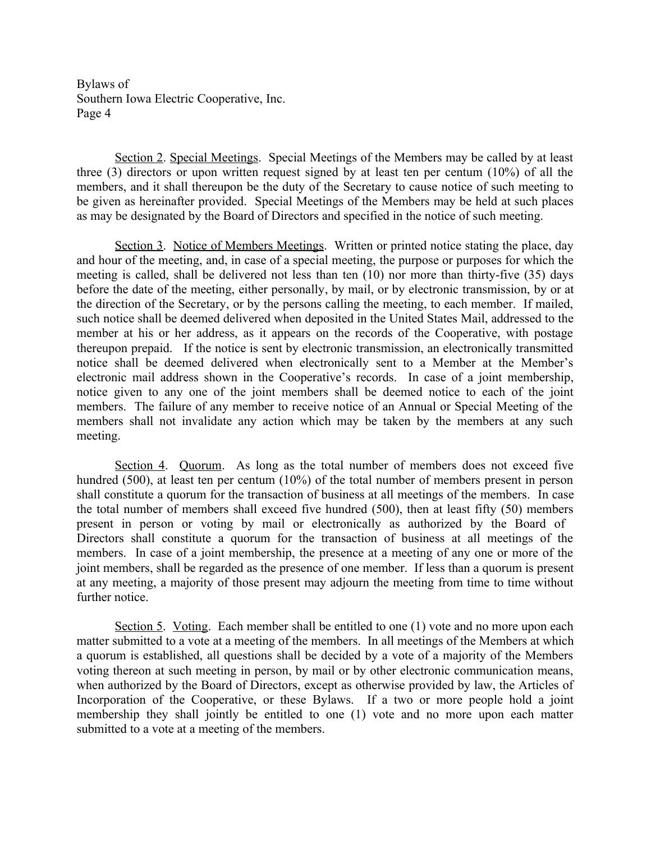Section 2. Special Meetings. Special Meetings of the Members may be called by at least three (3) directors or upon written request signed by at least ten per centum (10%) of all the members, and it shall thereupon be the duty of the Secretary to cause notice of such meeting to be given as hereinafter provided. Special Meetings of the Members may be held at such places as may be designated by the Board of Directors and specified in the notice of such meeting.

Section 3. Notice of Members Meetings. Written or printed notice stating the place, day and hour of the meeting, and, in case of a special meeting, the purpose or purposes for which the meeting is called, shall be delivered not less than ten (10) nor more than thirty-five (35) days before the date of the meeting, either personally, by mail, or by electronic transmission, by or at the direction of the Secretary, or by the persons calling the meeting, to each member. If mailed, such notice shall be deemed delivered when deposited in the United States Mail, addressed to the member at his or her address, as it appears on the records of the Cooperative, with postage thereupon prepaid. If the notice is sent by electronic transmission, an electronically transmitted notice shall be deemed delivered when electronically sent to a Member at the Member's electronic mail address shown in the Cooperative's records. In case of a joint membership, notice given to any one of the joint members shall be deemed notice to each of the joint members. The failure of any member to receive notice of an Annual or Special Meeting of the members shall not invalidate any action which may be taken by the members at any such meeting.

Section 4. Quorum. As long as the total number of members does not exceed five hundred (500), at least ten per centum (10%) of the total number of members present in person shall constitute a quorum for the transaction of business at all meetings of the members. In case the total number of members shall exceed five hundred (500), then at least fifty (50) members present in person or voting by mail or electronically as authorized by the Board of Directors shall constitute a quorum for the transaction of business at all meetings of the members. In case of a joint membership, the presence at a meeting of any one or more of the joint members, shall be regarded as the presence of one member. If less than a quorum is present at any meeting, a majority of those present may adjourn the meeting from time to time without further notice.

Section 5. Voting. Each member shall be entitled to one (1) vote and no more upon each matter submitted to a vote at a meeting of the members. In all meetings of the Members at which a quorum is established, all questions shall be decided by a vote of a majority of the Members voting thereon at such meeting in person, by mail or by other electronic communication means, when authorized by the Board of Directors, except as otherwise provided by law, the Articles of Incorporation of the Cooperative, or these Bylaws. If a two or more people hold a joint membership they shall jointly be entitled to one (1) vote and no more upon each matter submitted to a vote at a meeting of the members.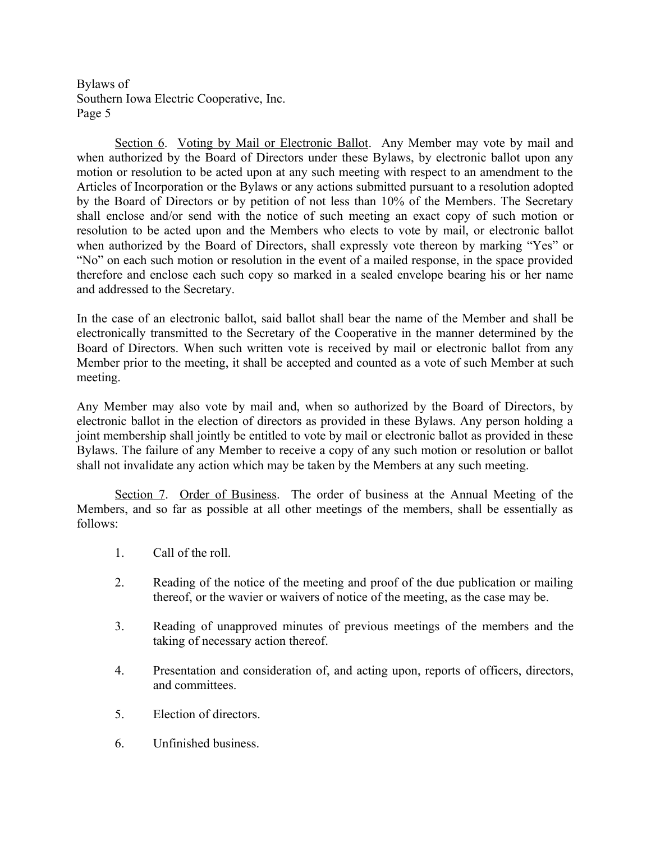Section 6. Voting by Mail or Electronic Ballot. Any Member may vote by mail and when authorized by the Board of Directors under these Bylaws, by electronic ballot upon any motion or resolution to be acted upon at any such meeting with respect to an amendment to the Articles of Incorporation or the Bylaws or any actions submitted pursuant to a resolution adopted by the Board of Directors or by petition of not less than 10% of the Members. The Secretary shall enclose and/or send with the notice of such meeting an exact copy of such motion or resolution to be acted upon and the Members who elects to vote by mail, or electronic ballot when authorized by the Board of Directors, shall expressly vote thereon by marking "Yes" or "No" on each such motion or resolution in the event of a mailed response, in the space provided therefore and enclose each such copy so marked in a sealed envelope bearing his or her name and addressed to the Secretary.

In the case of an electronic ballot, said ballot shall bear the name of the Member and shall be electronically transmitted to the Secretary of the Cooperative in the manner determined by the Board of Directors. When such written vote is received by mail or electronic ballot from any Member prior to the meeting, it shall be accepted and counted as a vote of such Member at such meeting.

Any Member may also vote by mail and, when so authorized by the Board of Directors, by electronic ballot in the election of directors as provided in these Bylaws. Any person holding a joint membership shall jointly be entitled to vote by mail or electronic ballot as provided in these Bylaws. The failure of any Member to receive a copy of any such motion or resolution or ballot shall not invalidate any action which may be taken by the Members at any such meeting.

Section 7. Order of Business. The order of business at the Annual Meeting of the Members, and so far as possible at all other meetings of the members, shall be essentially as follows:

- 1. Call of the roll.
- 2. Reading of the notice of the meeting and proof of the due publication or mailing thereof, or the wavier or waivers of notice of the meeting, as the case may be.
- 3. Reading of unapproved minutes of previous meetings of the members and the taking of necessary action thereof.
- 4. Presentation and consideration of, and acting upon, reports of officers, directors, and committees.
- 5. Election of directors.
- 6. Unfinished business.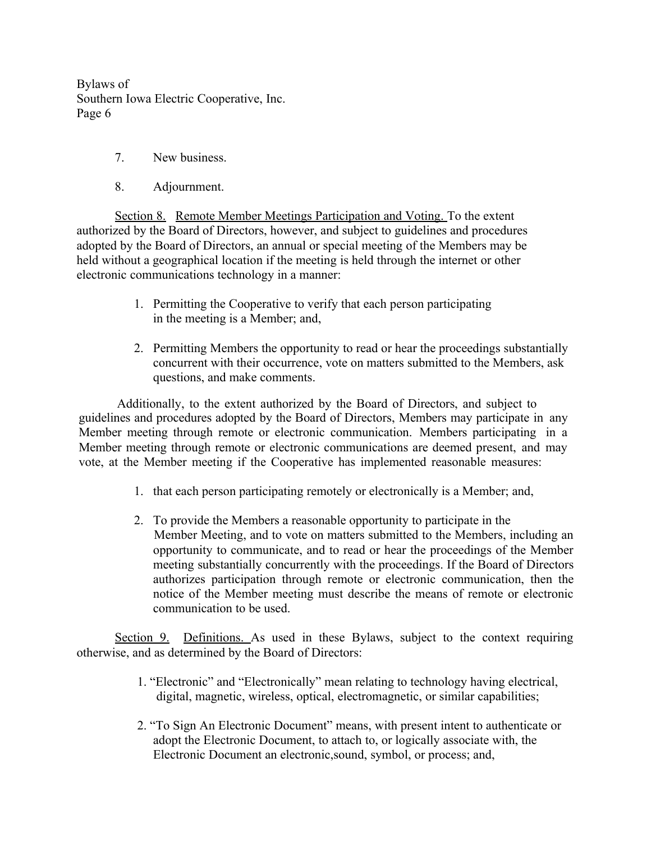- 7. New business.
- 8. Adjournment.

Section 8. Remote Member Meetings Participation and Voting. To the extent authorized by the Board of Directors, however, and subject to guidelines and procedures adopted by the Board of Directors, an annual or special meeting of the Members may be held without a geographical location if the meeting is held through the internet or other electronic communications technology in a manner:

- 1. Permitting the Cooperative to verify that each person participating in the meeting is a Member; and,
- 2. Permitting Members the opportunity to read or hear the proceedings substantially concurrent with their occurrence, vote on matters submitted to the Members, ask questions, and make comments.

Additionally, to the extent authorized by the Board of Directors, and subject to guidelines and procedures adopted by the Board of Directors, Members may participate in any Member meeting through remote or electronic communication. Members participating in a Member meeting through remote or electronic communications are deemed present, and may vote, at the Member meeting if the Cooperative has implemented reasonable measures:

- 1. that each person participating remotely or electronically is a Member; and,
- 2. To provide the Members a reasonable opportunity to participate in the Member Meeting, and to vote on matters submitted to the Members, including an opportunity to communicate, and to read or hear the proceedings of the Member meeting substantially concurrently with the proceedings. If the Board of Directors authorizes participation through remote or electronic communication, then the notice of the Member meeting must describe the means of remote or electronic communication to be used.

Section 9. Definitions. As used in these Bylaws, subject to the context requiring otherwise, and as determined by the Board of Directors:

- 1. "Electronic" and "Electronically" mean relating to technology having electrical, digital, magnetic, wireless, optical, electromagnetic, or similar capabilities;
- 2. "To Sign An Electronic Document" means, with present intent to authenticate or adopt the Electronic Document, to attach to, or logically associate with, the Electronic Document an electronic,sound, symbol, or process; and,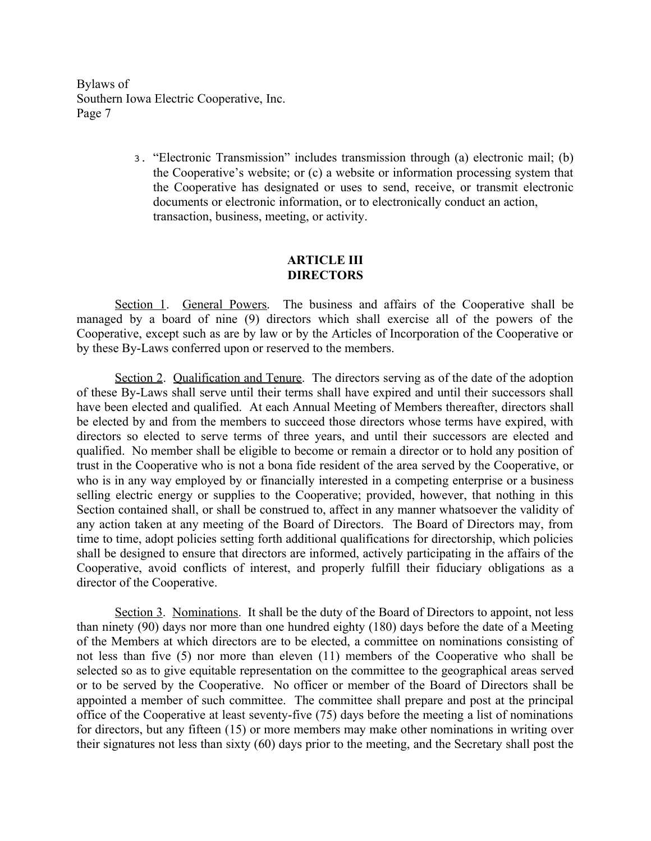> 3. "Electronic Transmission" includes transmission through (a) electronic mail; (b) the Cooperative's website; or (c) a website or information processing system that the Cooperative has designated or uses to send, receive, or transmit electronic documents or electronic information, or to electronically conduct an action, transaction, business, meeting, or activity.

## **ARTICLE III DIRECTORS**

Section 1. General Powers. The business and affairs of the Cooperative shall be managed by a board of nine (9) directors which shall exercise all of the powers of the Cooperative, except such as are by law or by the Articles of Incorporation of the Cooperative or by these By-Laws conferred upon or reserved to the members.

Section 2. Qualification and Tenure. The directors serving as of the date of the adoption of these By-Laws shall serve until their terms shall have expired and until their successors shall have been elected and qualified. At each Annual Meeting of Members thereafter, directors shall be elected by and from the members to succeed those directors whose terms have expired, with directors so elected to serve terms of three years, and until their successors are elected and qualified. No member shall be eligible to become or remain a director or to hold any position of trust in the Cooperative who is not a bona fide resident of the area served by the Cooperative, or who is in any way employed by or financially interested in a competing enterprise or a business selling electric energy or supplies to the Cooperative; provided, however, that nothing in this Section contained shall, or shall be construed to, affect in any manner whatsoever the validity of any action taken at any meeting of the Board of Directors. The Board of Directors may, from time to time, adopt policies setting forth additional qualifications for directorship, which policies shall be designed to ensure that directors are informed, actively participating in the affairs of the Cooperative, avoid conflicts of interest, and properly fulfill their fiduciary obligations as a director of the Cooperative.

Section 3. Nominations. It shall be the duty of the Board of Directors to appoint, not less than ninety (90) days nor more than one hundred eighty (180) days before the date of a Meeting of the Members at which directors are to be elected, a committee on nominations consisting of not less than five (5) nor more than eleven (11) members of the Cooperative who shall be selected so as to give equitable representation on the committee to the geographical areas served or to be served by the Cooperative. No officer or member of the Board of Directors shall be appointed a member of such committee. The committee shall prepare and post at the principal office of the Cooperative at least seventy-five (75) days before the meeting a list of nominations for directors, but any fifteen (15) or more members may make other nominations in writing over their signatures not less than sixty (60) days prior to the meeting, and the Secretary shall post the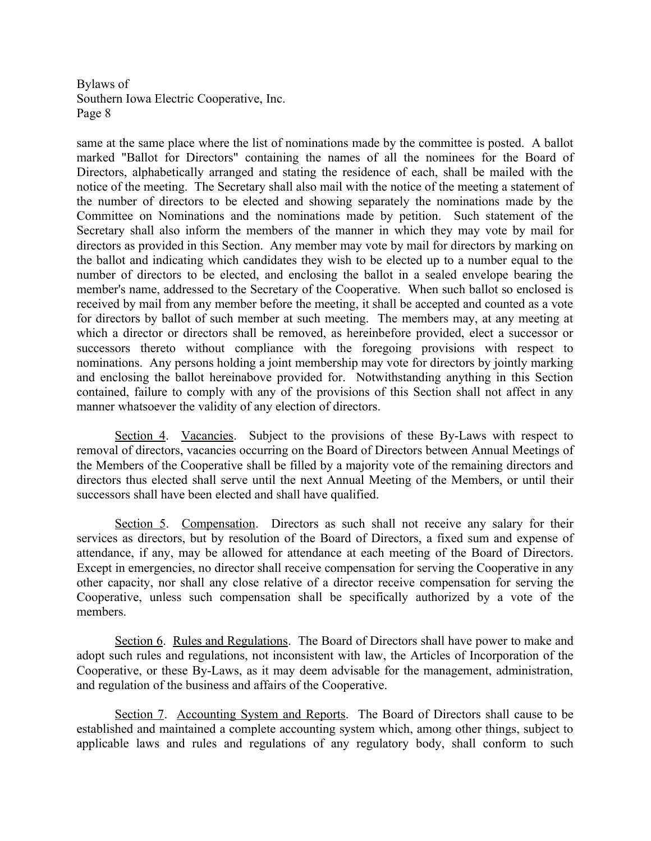same at the same place where the list of nominations made by the committee is posted. A ballot marked "Ballot for Directors" containing the names of all the nominees for the Board of Directors, alphabetically arranged and stating the residence of each, shall be mailed with the notice of the meeting. The Secretary shall also mail with the notice of the meeting a statement of the number of directors to be elected and showing separately the nominations made by the Committee on Nominations and the nominations made by petition. Such statement of the Secretary shall also inform the members of the manner in which they may vote by mail for directors as provided in this Section. Any member may vote by mail for directors by marking on the ballot and indicating which candidates they wish to be elected up to a number equal to the number of directors to be elected, and enclosing the ballot in a sealed envelope bearing the member's name, addressed to the Secretary of the Cooperative. When such ballot so enclosed is received by mail from any member before the meeting, it shall be accepted and counted as a vote for directors by ballot of such member at such meeting. The members may, at any meeting at which a director or directors shall be removed, as hereinbefore provided, elect a successor or successors thereto without compliance with the foregoing provisions with respect to nominations. Any persons holding a joint membership may vote for directors by jointly marking and enclosing the ballot hereinabove provided for. Notwithstanding anything in this Section contained, failure to comply with any of the provisions of this Section shall not affect in any manner whatsoever the validity of any election of directors.

Section 4. Vacancies. Subject to the provisions of these By-Laws with respect to removal of directors, vacancies occurring on the Board of Directors between Annual Meetings of the Members of the Cooperative shall be filled by a majority vote of the remaining directors and directors thus elected shall serve until the next Annual Meeting of the Members, or until their successors shall have been elected and shall have qualified.

Section 5. Compensation. Directors as such shall not receive any salary for their services as directors, but by resolution of the Board of Directors, a fixed sum and expense of attendance, if any, may be allowed for attendance at each meeting of the Board of Directors. Except in emergencies, no director shall receive compensation for serving the Cooperative in any other capacity, nor shall any close relative of a director receive compensation for serving the Cooperative, unless such compensation shall be specifically authorized by a vote of the members.

Section 6. Rules and Regulations. The Board of Directors shall have power to make and adopt such rules and regulations, not inconsistent with law, the Articles of Incorporation of the Cooperative, or these By-Laws, as it may deem advisable for the management, administration, and regulation of the business and affairs of the Cooperative.

Section 7. Accounting System and Reports. The Board of Directors shall cause to be established and maintained a complete accounting system which, among other things, subject to applicable laws and rules and regulations of any regulatory body, shall conform to such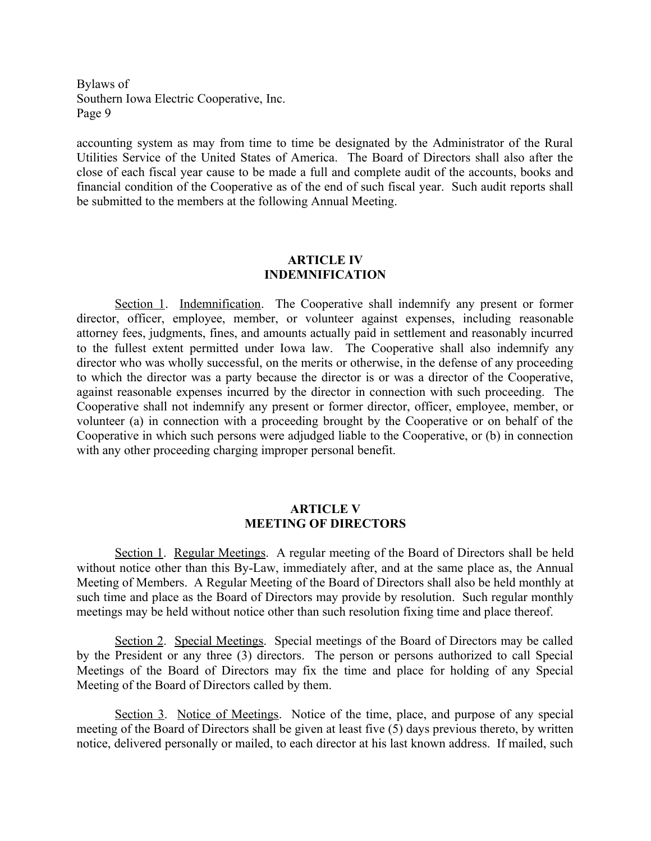accounting system as may from time to time be designated by the Administrator of the Rural Utilities Service of the United States of America. The Board of Directors shall also after the close of each fiscal year cause to be made a full and complete audit of the accounts, books and financial condition of the Cooperative as of the end of such fiscal year. Such audit reports shall be submitted to the members at the following Annual Meeting.

#### **ARTICLE IV INDEMNIFICATION**

Section 1. Indemnification. The Cooperative shall indemnify any present or former director, officer, employee, member, or volunteer against expenses, including reasonable attorney fees, judgments, fines, and amounts actually paid in settlement and reasonably incurred to the fullest extent permitted under Iowa law. The Cooperative shall also indemnify any director who was wholly successful, on the merits or otherwise, in the defense of any proceeding to which the director was a party because the director is or was a director of the Cooperative, against reasonable expenses incurred by the director in connection with such proceeding. The Cooperative shall not indemnify any present or former director, officer, employee, member, or volunteer (a) in connection with a proceeding brought by the Cooperative or on behalf of the Cooperative in which such persons were adjudged liable to the Cooperative, or (b) in connection with any other proceeding charging improper personal benefit.

# **ARTICLE V MEETING OF DIRECTORS**

Section 1. Regular Meetings. A regular meeting of the Board of Directors shall be held without notice other than this By-Law, immediately after, and at the same place as, the Annual Meeting of Members. A Regular Meeting of the Board of Directors shall also be held monthly at such time and place as the Board of Directors may provide by resolution. Such regular monthly meetings may be held without notice other than such resolution fixing time and place thereof.

Section 2. Special Meetings. Special meetings of the Board of Directors may be called by the President or any three (3) directors. The person or persons authorized to call Special Meetings of the Board of Directors may fix the time and place for holding of any Special Meeting of the Board of Directors called by them.

Section 3. Notice of Meetings. Notice of the time, place, and purpose of any special meeting of the Board of Directors shall be given at least five (5) days previous thereto, by written notice, delivered personally or mailed, to each director at his last known address. If mailed, such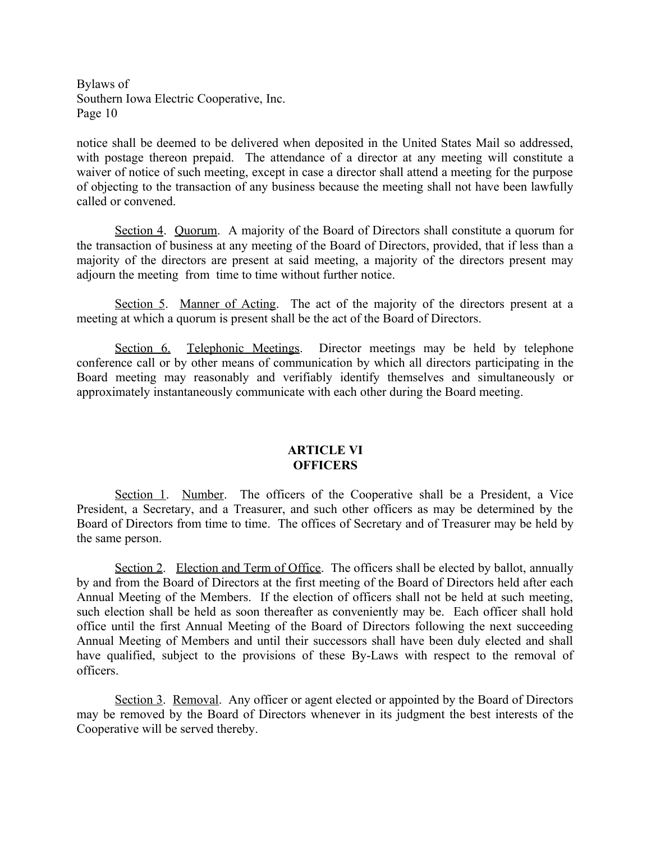notice shall be deemed to be delivered when deposited in the United States Mail so addressed, with postage thereon prepaid. The attendance of a director at any meeting will constitute a waiver of notice of such meeting, except in case a director shall attend a meeting for the purpose of objecting to the transaction of any business because the meeting shall not have been lawfully called or convened.

Section 4. Quorum. A majority of the Board of Directors shall constitute a quorum for the transaction of business at any meeting of the Board of Directors, provided, that if less than a majority of the directors are present at said meeting, a majority of the directors present may adjourn the meeting from time to time without further notice.

Section 5. Manner of Acting. The act of the majority of the directors present at a meeting at which a quorum is present shall be the act of the Board of Directors.

Section 6. Telephonic Meetings. Director meetings may be held by telephone conference call or by other means of communication by which all directors participating in the Board meeting may reasonably and verifiably identify themselves and simultaneously or approximately instantaneously communicate with each other during the Board meeting.

## **ARTICLE VI OFFICERS**

Section 1. Number. The officers of the Cooperative shall be a President, a Vice President, a Secretary, and a Treasurer, and such other officers as may be determined by the Board of Directors from time to time. The offices of Secretary and of Treasurer may be held by the same person.

Section 2. Election and Term of Office. The officers shall be elected by ballot, annually by and from the Board of Directors at the first meeting of the Board of Directors held after each Annual Meeting of the Members. If the election of officers shall not be held at such meeting, such election shall be held as soon thereafter as conveniently may be. Each officer shall hold office until the first Annual Meeting of the Board of Directors following the next succeeding Annual Meeting of Members and until their successors shall have been duly elected and shall have qualified, subject to the provisions of these By-Laws with respect to the removal of officers.

Section 3. Removal. Any officer or agent elected or appointed by the Board of Directors may be removed by the Board of Directors whenever in its judgment the best interests of the Cooperative will be served thereby.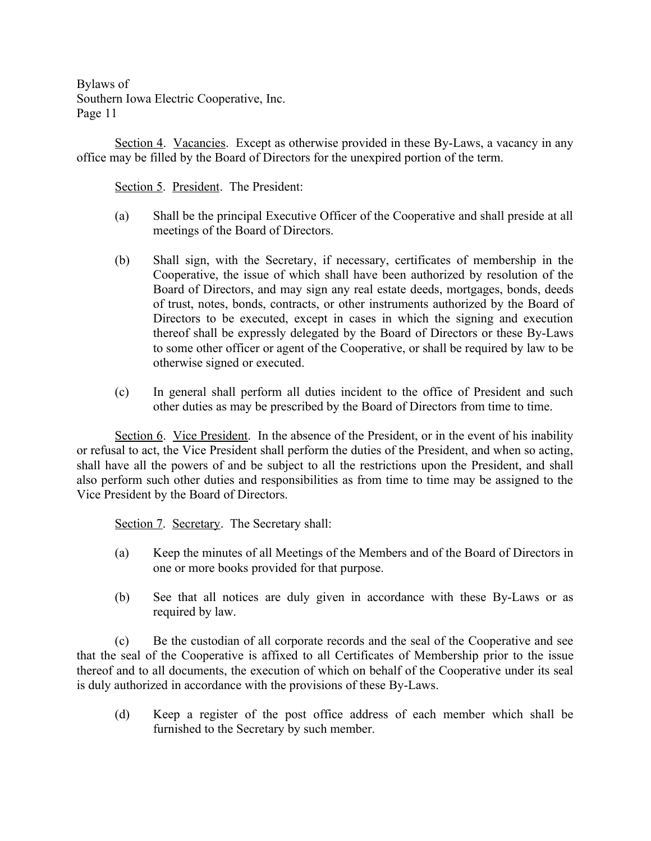Section 4. Vacancies. Except as otherwise provided in these By-Laws, a vacancy in any office may be filled by the Board of Directors for the unexpired portion of the term.

Section 5. President. The President:

- (a) Shall be the principal Executive Officer of the Cooperative and shall preside at all meetings of the Board of Directors.
- (b) Shall sign, with the Secretary, if necessary, certificates of membership in the Cooperative, the issue of which shall have been authorized by resolution of the Board of Directors, and may sign any real estate deeds, mortgages, bonds, deeds of trust, notes, bonds, contracts, or other instruments authorized by the Board of Directors to be executed, except in cases in which the signing and execution thereof shall be expressly delegated by the Board of Directors or these By-Laws to some other officer or agent of the Cooperative, or shall be required by law to be otherwise signed or executed.
- (c) In general shall perform all duties incident to the office of President and such other duties as may be prescribed by the Board of Directors from time to time.

Section 6. Vice President. In the absence of the President, or in the event of his inability or refusal to act, the Vice President shall perform the duties of the President, and when so acting, shall have all the powers of and be subject to all the restrictions upon the President, and shall also perform such other duties and responsibilities as from time to time may be assigned to the Vice President by the Board of Directors.

Section 7. Secretary. The Secretary shall:

- (a) Keep the minutes of all Meetings of the Members and of the Board of Directors in one or more books provided for that purpose.
- (b) See that all notices are duly given in accordance with these By-Laws or as required by law.

(c) Be the custodian of all corporate records and the seal of the Cooperative and see that the seal of the Cooperative is affixed to all Certificates of Membership prior to the issue thereof and to all documents, the execution of which on behalf of the Cooperative under its seal is duly authorized in accordance with the provisions of these By-Laws.

(d) Keep a register of the post office address of each member which shall be furnished to the Secretary by such member.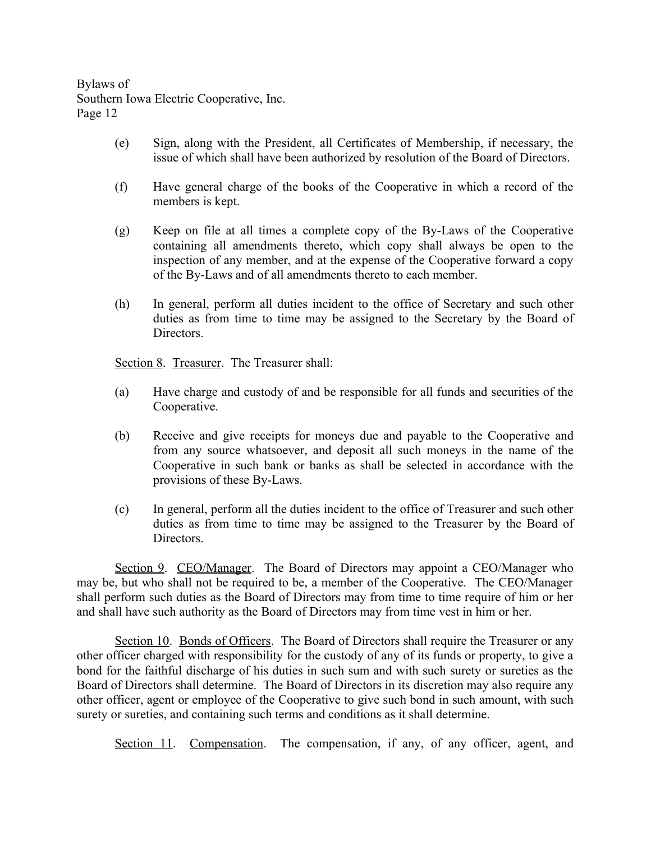- (e) Sign, along with the President, all Certificates of Membership, if necessary, the issue of which shall have been authorized by resolution of the Board of Directors.
- (f) Have general charge of the books of the Cooperative in which a record of the members is kept.
- (g) Keep on file at all times a complete copy of the By-Laws of the Cooperative containing all amendments thereto, which copy shall always be open to the inspection of any member, and at the expense of the Cooperative forward a copy of the By-Laws and of all amendments thereto to each member.
- (h) In general, perform all duties incident to the office of Secretary and such other duties as from time to time may be assigned to the Secretary by the Board of Directors.

Section 8. Treasurer. The Treasurer shall:

- (a) Have charge and custody of and be responsible for all funds and securities of the Cooperative.
- (b) Receive and give receipts for moneys due and payable to the Cooperative and from any source whatsoever, and deposit all such moneys in the name of the Cooperative in such bank or banks as shall be selected in accordance with the provisions of these By-Laws.
- (c) In general, perform all the duties incident to the office of Treasurer and such other duties as from time to time may be assigned to the Treasurer by the Board of Directors.

Section 9. CEO/Manager. The Board of Directors may appoint a CEO/Manager who may be, but who shall not be required to be, a member of the Cooperative. The CEO/Manager shall perform such duties as the Board of Directors may from time to time require of him or her and shall have such authority as the Board of Directors may from time vest in him or her.

Section 10. Bonds of Officers. The Board of Directors shall require the Treasurer or any other officer charged with responsibility for the custody of any of its funds or property, to give a bond for the faithful discharge of his duties in such sum and with such surety or sureties as the Board of Directors shall determine. The Board of Directors in its discretion may also require any other officer, agent or employee of the Cooperative to give such bond in such amount, with such surety or sureties, and containing such terms and conditions as it shall determine.

Section 11. Compensation. The compensation, if any, of any officer, agent, and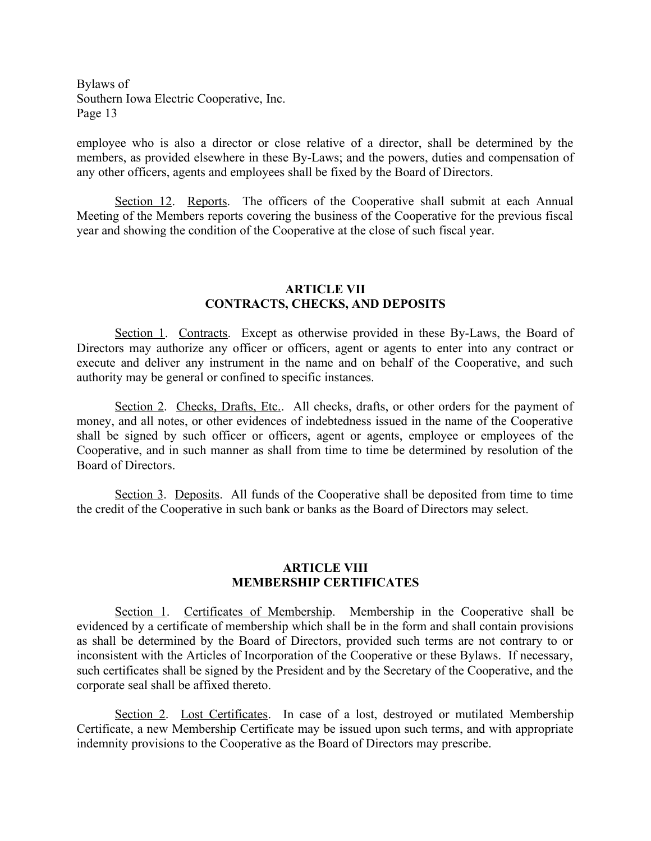employee who is also a director or close relative of a director, shall be determined by the members, as provided elsewhere in these By-Laws; and the powers, duties and compensation of any other officers, agents and employees shall be fixed by the Board of Directors.

Section 12. Reports. The officers of the Cooperative shall submit at each Annual Meeting of the Members reports covering the business of the Cooperative for the previous fiscal year and showing the condition of the Cooperative at the close of such fiscal year.

#### **ARTICLE VII CONTRACTS, CHECKS, AND DEPOSITS**

Section 1. Contracts. Except as otherwise provided in these By-Laws, the Board of Directors may authorize any officer or officers, agent or agents to enter into any contract or execute and deliver any instrument in the name and on behalf of the Cooperative, and such authority may be general or confined to specific instances.

Section 2. Checks, Drafts, Etc.. All checks, drafts, or other orders for the payment of money, and all notes, or other evidences of indebtedness issued in the name of the Cooperative shall be signed by such officer or officers, agent or agents, employee or employees of the Cooperative, and in such manner as shall from time to time be determined by resolution of the Board of Directors.

Section 3. Deposits. All funds of the Cooperative shall be deposited from time to time the credit of the Cooperative in such bank or banks as the Board of Directors may select.

# **ARTICLE VIII MEMBERSHIP CERTIFICATES**

Section 1. Certificates of Membership. Membership in the Cooperative shall be evidenced by a certificate of membership which shall be in the form and shall contain provisions as shall be determined by the Board of Directors, provided such terms are not contrary to or inconsistent with the Articles of Incorporation of the Cooperative or these Bylaws. If necessary, such certificates shall be signed by the President and by the Secretary of the Cooperative, and the corporate seal shall be affixed thereto.

Section 2. Lost Certificates. In case of a lost, destroyed or mutilated Membership Certificate, a new Membership Certificate may be issued upon such terms, and with appropriate indemnity provisions to the Cooperative as the Board of Directors may prescribe.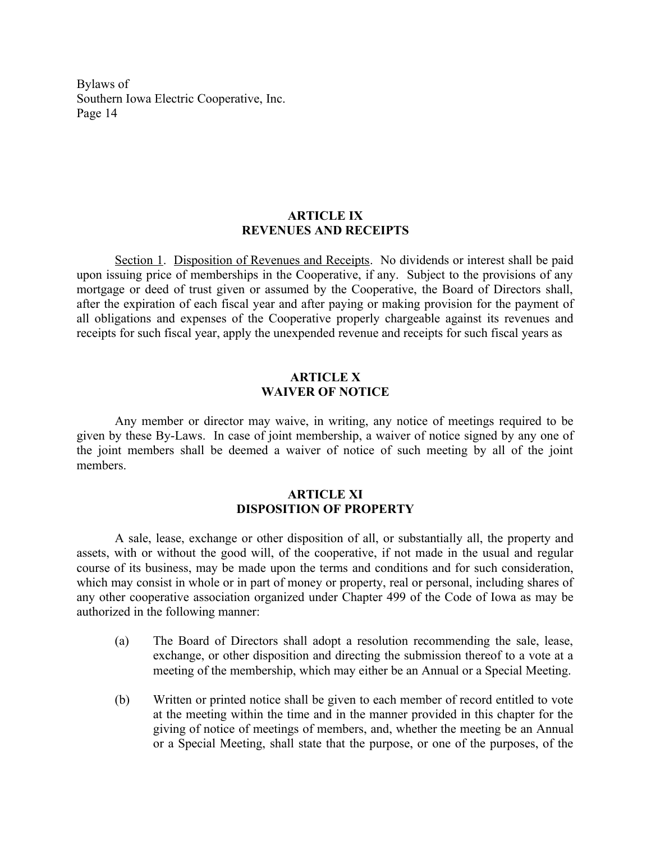# **ARTICLE IX REVENUES AND RECEIPTS**

Section 1. Disposition of Revenues and Receipts. No dividends or interest shall be paid upon issuing price of memberships in the Cooperative, if any. Subject to the provisions of any mortgage or deed of trust given or assumed by the Cooperative, the Board of Directors shall, after the expiration of each fiscal year and after paying or making provision for the payment of all obligations and expenses of the Cooperative properly chargeable against its revenues and receipts for such fiscal year, apply the unexpended revenue and receipts for such fiscal years as

### **ARTICLE X WAIVER OF NOTICE**

Any member or director may waive, in writing, any notice of meetings required to be given by these By-Laws. In case of joint membership, a waiver of notice signed by any one of the joint members shall be deemed a waiver of notice of such meeting by all of the joint members.

# **ARTICLE XI DISPOSITION OF PROPERTY**

A sale, lease, exchange or other disposition of all, or substantially all, the property and assets, with or without the good will, of the cooperative, if not made in the usual and regular course of its business, may be made upon the terms and conditions and for such consideration, which may consist in whole or in part of money or property, real or personal, including shares of any other cooperative association organized under Chapter 499 of the Code of Iowa as may be authorized in the following manner:

- (a) The Board of Directors shall adopt a resolution recommending the sale, lease, exchange, or other disposition and directing the submission thereof to a vote at a meeting of the membership, which may either be an Annual or a Special Meeting.
- (b) Written or printed notice shall be given to each member of record entitled to vote at the meeting within the time and in the manner provided in this chapter for the giving of notice of meetings of members, and, whether the meeting be an Annual or a Special Meeting, shall state that the purpose, or one of the purposes, of the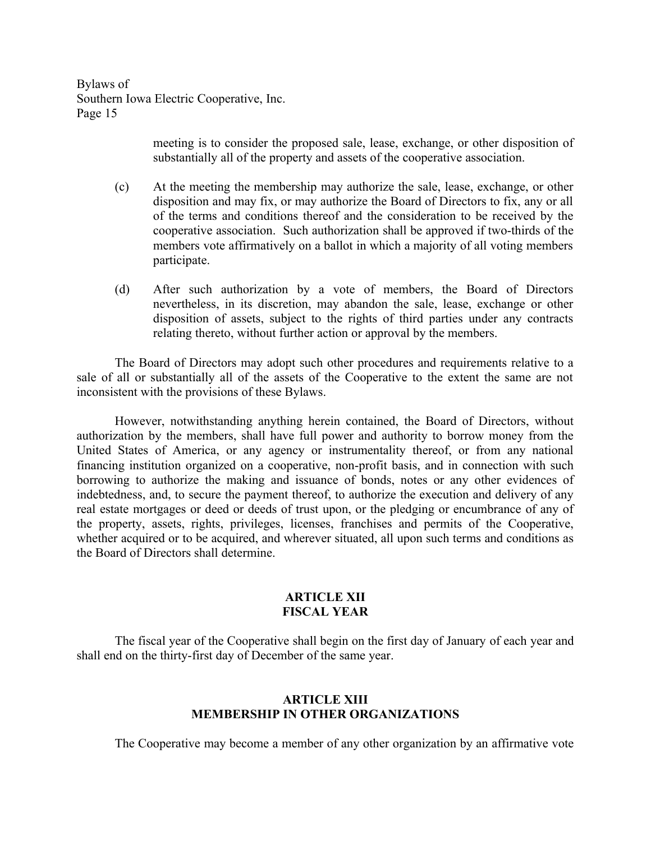> meeting is to consider the proposed sale, lease, exchange, or other disposition of substantially all of the property and assets of the cooperative association.

- (c) At the meeting the membership may authorize the sale, lease, exchange, or other disposition and may fix, or may authorize the Board of Directors to fix, any or all of the terms and conditions thereof and the consideration to be received by the cooperative association. Such authorization shall be approved if two-thirds of the members vote affirmatively on a ballot in which a majority of all voting members participate.
- (d) After such authorization by a vote of members, the Board of Directors nevertheless, in its discretion, may abandon the sale, lease, exchange or other disposition of assets, subject to the rights of third parties under any contracts relating thereto, without further action or approval by the members.

The Board of Directors may adopt such other procedures and requirements relative to a sale of all or substantially all of the assets of the Cooperative to the extent the same are not inconsistent with the provisions of these Bylaws.

However, notwithstanding anything herein contained, the Board of Directors, without authorization by the members, shall have full power and authority to borrow money from the United States of America, or any agency or instrumentality thereof, or from any national financing institution organized on a cooperative, non-profit basis, and in connection with such borrowing to authorize the making and issuance of bonds, notes or any other evidences of indebtedness, and, to secure the payment thereof, to authorize the execution and delivery of any real estate mortgages or deed or deeds of trust upon, or the pledging or encumbrance of any of the property, assets, rights, privileges, licenses, franchises and permits of the Cooperative, whether acquired or to be acquired, and wherever situated, all upon such terms and conditions as the Board of Directors shall determine.

## **ARTICLE XII FISCAL YEAR**

The fiscal year of the Cooperative shall begin on the first day of January of each year and shall end on the thirty-first day of December of the same year.

# **ARTICLE XIII MEMBERSHIP IN OTHER ORGANIZATIONS**

The Cooperative may become a member of any other organization by an affirmative vote